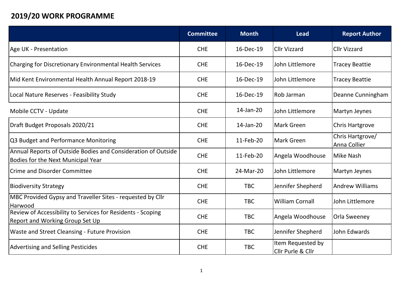## **2019/20 WORK PROGRAMME**

|                                                                                                            | <b>Committee</b> | <b>Month</b> | <b>Lead</b>                            | <b>Report Author</b>             |
|------------------------------------------------------------------------------------------------------------|------------------|--------------|----------------------------------------|----------------------------------|
| Age UK - Presentation                                                                                      | <b>CHE</b>       | 16-Dec-19    | <b>Cllr Vizzard</b>                    | <b>Cllr Vizzard</b>              |
| Charging for Discretionary Environmental Health Services                                                   | <b>CHE</b>       | 16-Dec-19    | John Littlemore                        | <b>Tracey Beattie</b>            |
| Mid Kent Environmental Health Annual Report 2018-19                                                        | <b>CHE</b>       | 16-Dec-19    | John Littlemore                        | <b>Tracey Beattie</b>            |
| Local Nature Reserves - Feasibility Study                                                                  | <b>CHE</b>       | 16-Dec-19    | <b>Rob Jarman</b>                      | Deanne Cunningham                |
| Mobile CCTV - Update                                                                                       | <b>CHE</b>       | 14-Jan-20    | John Littlemore                        | Martyn Jeynes                    |
| Draft Budget Proposals 2020/21                                                                             | <b>CHE</b>       | 14-Jan-20    | <b>Mark Green</b>                      | <b>Chris Hartgrove</b>           |
| Q3 Budget and Performance Monitoring                                                                       | <b>CHE</b>       | 11-Feb-20    | <b>Mark Green</b>                      | Chris Hartgrove/<br>Anna Collier |
| Annual Reports of Outside Bodies and Consideration of Outside<br><b>Bodies for the Next Municipal Year</b> | <b>CHE</b>       | 11-Feb-20    | Angela Woodhouse                       | Mike Nash                        |
| <b>Crime and Disorder Committee</b>                                                                        | <b>CHE</b>       | 24-Mar-20    | John Littlemore                        | Martyn Jeynes                    |
| <b>Biodiversity Strategy</b>                                                                               | <b>CHE</b>       | <b>TBC</b>   | Jennifer Shepherd                      | <b>Andrew Williams</b>           |
| MBC Provided Gypsy and Traveller Sites - requested by Cllr<br>Harwood                                      | <b>CHE</b>       | <b>TBC</b>   | <b>William Cornall</b>                 | John Littlemore                  |
| Review of Accessibility to Services for Residents - Scoping<br><b>Report and Working Group Set Up</b>      | <b>CHE</b>       | <b>TBC</b>   | Angela Woodhouse                       | Orla Sweeney                     |
| Waste and Street Cleansing - Future Provision                                                              | <b>CHE</b>       | <b>TBC</b>   | Jennifer Shepherd                      | John Edwards                     |
| <b>Advertising and Selling Pesticides</b>                                                                  | <b>CHE</b>       | <b>TBC</b>   | Item Requested by<br>Cllr Purle & Cllr |                                  |